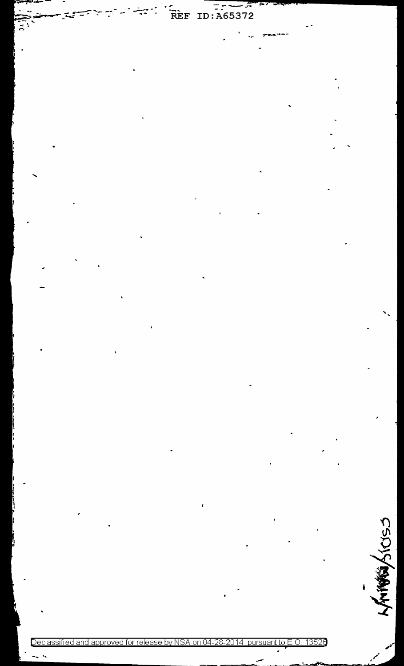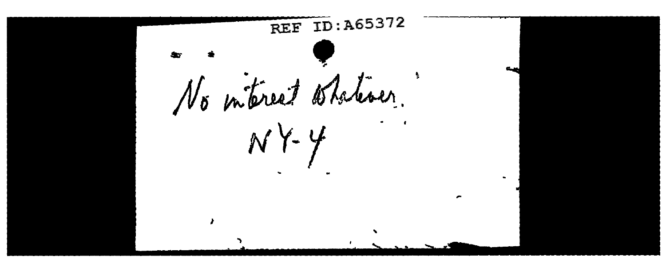REF ID: A65372 No interest whatever.  $NY-4$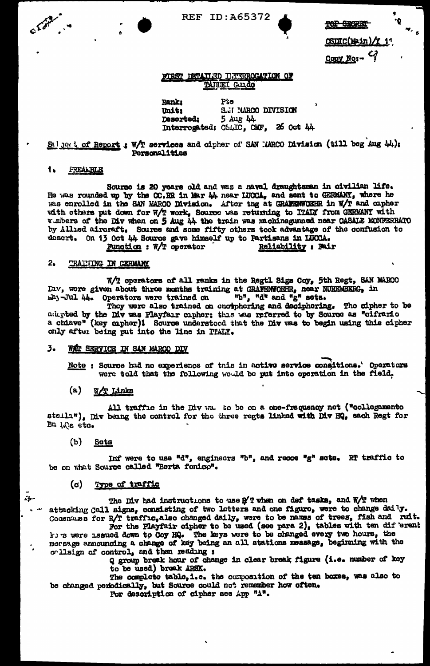**REF ID: A65372** 



OSDIC(Main)/Y 1'

 $Copy No:~$ 

<del>top Secre</del>t

## FIRST DETAILED HATERROGATION OF TANEL Guido

**Rank:** Pto S.JI MARCO DIVISION Unit: **Deserted;**  $5$   $\Delta$ ug  $44$ Interrogated: CSLIC, CMF, 26 Oct 44

Stl pert of Report ; W/T services and cipher of SAN MARCO Division (till beg Aug 44): Personalities

#### 1. **FREALBLE**

Source is 20 years old and was a naval draughtsman in civilian life. He was rounded up by the CO.RR in Mar 44 near LUCCA, and sent to GERMANY, where he was enrolled in the SAN MARCO Division. After tng at GRAVENWOEHR in W/T and capher with others put down for W/T work, Source was returning to ITAIX from GERMANY with where of the Div when on 5 Aug 44 the train was machinegunned near CASALE MONFERRATO by Allied aircraft. Source and some fifty others took advantage of the confusion to desert. On 13 Oct 44 Source gave himself up to Partisans in LUCCA. **Function : W/T operator** Reliability : Fair

#### $2<sub>o</sub>$ TRAINING IN GERMANY

W/T operators of all ranks in the Regtl Sigs Coy, 5th Regt, SAN MARCO Duv, were given about three months training at CRAFENWOEHR, near NUREMBERG, in why will 44. Operators were trained on "b", "d" and "g" sets.

They were also trained on enciphering and deciphering. The cipher to be adupted by the Div was Playfarr cripter: this was referred to by Source as "cifranic a chiave" (key capher)! Source understood that the Div was to begin using this cipher only after being put into the line in ITALY.

#### 3. WAT SERVICE IN SAN MARCO DIV

Note : Source had no experience of this in active service consitions.' Operators were told that the following would be put into operation in the field.

#### $(a)$ W/T Links

All traffic in the Div wa. to be on a one-frequency net ("collegamento stella"), hiv being the control for the three regts linked with Div HQ, each Regt for Bn I. e etc.

#### $(b)$ Sets

 $\mathbf{z}$ 

Inf were to use "d", engineers "b", and recee "g" sets. RT traffic to be on what Source called "Borta fonico".

#### $(\sigma)$ Type of traffic

The Div had instructions to use R'T when on def tasks, and W/T when attacking Call signs, consisting of two letters and one figure, were to change daily. Codenauss for R/T traffic, also changed daily, were to be names of trees, fish and ruit.

For the Playfair cipher to be used (see para 2), tables with ten dif erent kors were assued down to Coy HQ. The keys were to be changed every two hours, the mersage announcing a change of key being an all stations message, beginning with the collsign of control, and then reading :

Q group break hour of change in clear break figure (i.e. number of key to be used) broak ARSK.

The complete table, i.e. the composition of the ten boxes, was also to be changed periodically, but Source could not remember how often.

For description of cipher see App "A".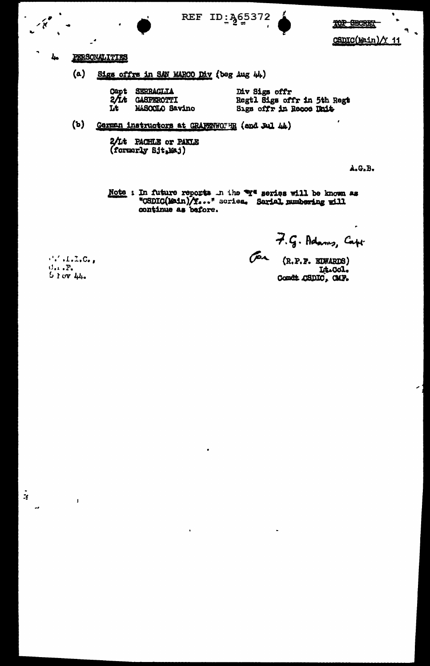

TOP SECRET

CSDIC(Main)/Y 11

÷

¢Ļ.

### PERSONALITIES 4.

 $\mathcal{L}$ 

 $\tilde{K}$ 

 $(a)$ Sigs offrs in SAN MARCO Div (bog Aug 44)

|    | Capt SERRACLIA        | Div Sigs offr               |
|----|-----------------------|-----------------------------|
|    | 2/Lt GASPEROTTI       | Regtl Sigs offr in 5th Regt |
| Lt | <b>MASCOLO Savino</b> | Sigs offr in Recoe Unit     |

 $(b)$ Cerman instructors at CRAFENWOFHR (and Jul 44)

2/Lt PACHLE or PAKLE<br>(formerly Sjt,Maj)

A.G.B.

×

Note: In future reports in the Te series will be known as "CSDIC(Main) /Y..." scries. Sarial numbering will continue as before.

7. G. Adams, Capi  $\sigma$  (R.P.F. EUWARDS) Lt.col.

Condt CSDIC, CMF.

 $\mathcal{N}$ ,  $\mathcal{N}$ ,  $\mathcal{N}$ ,  $\mathcal{C}_{\bullet}$ ,  $5$  rov  $44$ .

 $\mathcal{C}_{\bullet\bullet}$  ,  $\mathcal{P}_{\bullet}$ 

 $\frac{1}{2}$ 

 $\mathbf{r}$